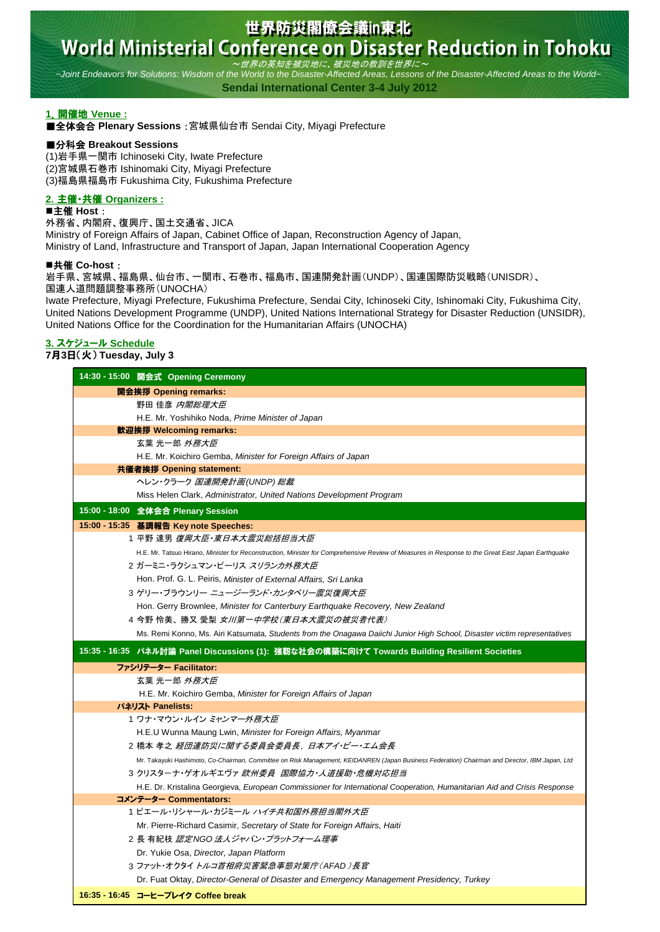# 世界防災閣僚会議in東北

**Sendai International Center 3-4 July 2012** ~世界の英知を被災地に、被災地の教訓を世界に~ *~Joint Endeavors for Solutions: Wisdom of the World to the Disaster-Affected Areas, Lessons of the Disaster-Affected Areas to the World~* 

## **1**.開催地 **Venue :**

■全体会合 Plenary Sessions :宮城県仙台市 Sendai City, Miyagi Prefecture

### ■分科会 **Breakout Sessions**

(1)岩手県一関市 Ichinoseki City, Iwate Prefecture (2)宮城県石巻市 Ishinomaki City, Miyagi Prefecture (3)福島県福島市 Fukushima City, Fukushima Prefecture

# **2.** 主催・共催 **Organizers :**

#### ■主催 Host :

外務省、内閣府、復興庁、国土交通省、JICA Ministry of Foreign Affairs of Japan, Cabinet Office of Japan, Reconstruction Agency of Japan, Ministry of Land, Infrastructure and Transport of Japan, Japan International Cooperation Agency

### ■共催 Co-host :

岩手県、宮城県、福島県、仙台市、一関市、石巻市、福島市、国連開発計画(UNDP)、国連国際防災戦略(UNISDR)、 国連人道問題調整事務所(UNOCHA)

Iwate Prefecture, Miyagi Prefecture, Fukushima Prefecture, Sendai City, Ichinoseki City, Ishinomaki City, Fukushima City, United Nations Development Programme (UNDP), United Nations International Strategy for Disaster Reduction (UNSIDR), United Nations Office for the Coordination for the Humanitarian Affairs (UNOCHA)

# **3.** スケジュール **Schedule**

# **7**月**3**日(火) **Tuesday, July 3**

| 14:30 - 15:00 開会式 Opening Ceremony                                                                                                                |
|---------------------------------------------------------------------------------------------------------------------------------------------------|
| 開会挨拶 Opening remarks:                                                                                                                             |
| 野田 佳彦 <i>内閣総理大臣</i>                                                                                                                               |
| H.E. Mr. Yoshihiko Noda, Prime Minister of Japan                                                                                                  |
| 歓迎挨拶 Welcoming remarks:                                                                                                                           |
| 玄葉 光一郎 <i>外務大臣</i>                                                                                                                                |
| H.E. Mr. Koichiro Gemba, Minister for Foreign Affairs of Japan                                                                                    |
| 共催者挨拶 Opening statement:                                                                                                                          |
| ヘレン・クラーク 国連開発計画(UNDP) 総裁                                                                                                                          |
| Miss Helen Clark, Administrator, United Nations Development Program                                                                               |
| 15:00 - 18:00 全体会合 Plenary Session                                                                                                                |
| 15:00 - 15:35 基調報告 Key note Speeches:                                                                                                             |
| 1 平野 達男 <i>復興大臣・東日本大震災総括担当大臣</i>                                                                                                                  |
| H.E. Mr. Tatsuo Hirano, Minister for Reconstruction, Minister for Comprehensive Review of Measures in Response to the Great East Japan Earthquake |
| 2 ガーミニ・ラクシュマン・ピーリス <i>スリランカ外務大臣</i>                                                                                                               |
| Hon. Prof. G. L. Peiris, Minister of External Affairs, Sri Lanka                                                                                  |
| 3 ゲリー・ブラウンリー ニュージーランド・カンタベリー震災復興大臣                                                                                                                |
| Hon. Gerry Brownlee, Minister for Canterbury Earthquake Recovery, New Zealand                                                                     |
| 4 今野 怜美、勝又 愛梨 <i>女川第一中学校(東日本大震災の被災者代表)</i>                                                                                                        |
| Ms. Remi Konno, Ms. Airi Katsumata, Students from the Onagawa Daiichi Junior High School, Disaster victim representatives                         |
|                                                                                                                                                   |
| 15:35 - 16:35 パネル討論 Panel Discussions (1): 強靭な社会の構築に向けて Towards Building Resilient Societies                                                      |
| ファシリテーター Facilitator:                                                                                                                             |
| 玄葉 光一郎 <i>外務大臣</i>                                                                                                                                |
| H.E. Mr. Koichiro Gemba, Minister for Foreign Affairs of Japan                                                                                    |
| パネリスト Panelists:                                                                                                                                  |
| 1 ワナ・マウン・ルイン ミャンマー外 <i>務大臣</i>                                                                                                                    |
| H.E.U Wunna Maung Lwin, Minister for Foreign Affairs, Myanmar                                                                                     |
| 2 橋本 孝之 経団連防災に関する委員会委員長、日本アイ・ビー・エム会長                                                                                                              |
| Mr. Takayuki Hashimoto, Co-Chairman, Committee on Risk Management, KEIDANREN (Japan Business Federation) Chairman and Director, IBM Japan, Ltd    |
| 3 クリスターナ・ゲオルギエヴァ 欧州委員 国際協力・人道援助・危機対応担当                                                                                                            |
| H.E. Dr. Kristalina Georgieva, European Commissioner for International Cooperation, Humanitarian Aid and Crisis Response                          |
| コメンテーター Commentators:                                                                                                                             |
| 1 ピエール・リシャール・カジミール ハイチ共和国外務担当閣外大臣                                                                                                                 |
| Mr. Pierre-Richard Casimir, Secretary of State for Foreign Affairs, Haiti                                                                         |
| 2 長 有紀枝 <i>認定</i> NGO <i>法人ジャパン・プラットフォーム理事</i>                                                                                                    |
| Dr. Yukie Osa, Director, Japan Platform                                                                                                           |
| 3 ファット・オクタイ トルコ首相府災害緊急事態対策庁(AFAD)長官                                                                                                               |
| Dr. Fuat Oktay, Director-General of Disaster and Emergency Management Presidency, Turkey                                                          |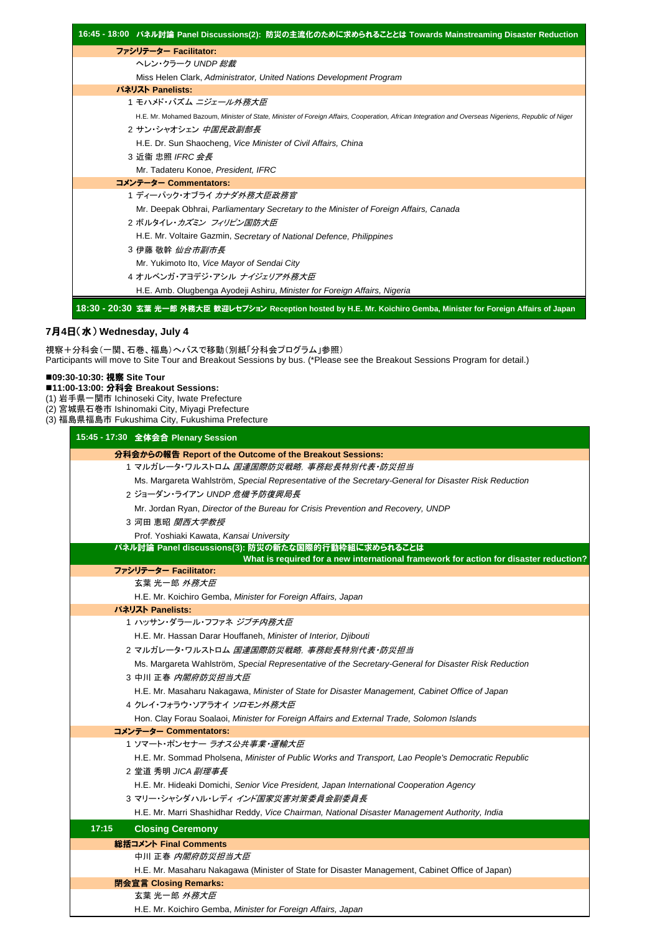| 16:45 - 18:00 パネル討論 Panel Discussions(2): 防災の主流化のために求められることとは Towards Mainstreaming Disaster Reduction                                              |  |  |
|-----------------------------------------------------------------------------------------------------------------------------------------------------|--|--|
| ファシリテーター Facilitator:                                                                                                                               |  |  |
| ヘレン・クラーク UNDP 総裁                                                                                                                                    |  |  |
| Miss Helen Clark, Administrator, United Nations Development Program                                                                                 |  |  |
| パネリスト Panelists:                                                                                                                                    |  |  |
| 1 モハメド・バズム ニジェール外務大臣                                                                                                                                |  |  |
| H.E. Mr. Mohamed Bazoum, Minister of State, Minister of Foreign Affairs, Cooperation, African Integration and Overseas Nigeriens, Republic of Niger |  |  |
| 2 サン・シャオシェン 中国民政副部長                                                                                                                                 |  |  |
| H.E. Dr. Sun Shaocheng, Vice Minister of Civil Affairs, China                                                                                       |  |  |
| 3 近衞 忠照 IFRC <i>会長</i>                                                                                                                              |  |  |
| Mr. Tadateru Konoe, President, IFRC                                                                                                                 |  |  |
| コメンテーター Commentators:                                                                                                                               |  |  |
| 1 ディーパック・オブライ カナダ外務大臣政務官                                                                                                                            |  |  |
| Mr. Deepak Obhrai, Parliamentary Secretary to the Minister of Foreign Affairs, Canada                                                               |  |  |
| 2 ボルタイレ・カズミン フィリピン国防大臣                                                                                                                              |  |  |
| H.E. Mr. Voltaire Gazmin, Secretary of National Defence, Philippines                                                                                |  |  |
| 3 伊藤 敬幹 <i>仙台市副市長</i>                                                                                                                               |  |  |
| Mr. Yukimoto Ito, Vice Mayor of Sendai City                                                                                                         |  |  |
| 4 オルベンガ・アヨデジ・アシル ナイジェリア外務大臣                                                                                                                         |  |  |
| H.E. Amb. Olugbenga Ayodeji Ashiru, Minister for Foreign Affairs, Nigeria                                                                           |  |  |
| 18:30 - 20:30 玄葉 光一郎 外務大臣 歓迎レセプション Reception hosted by H.E. Mr. Koichiro Gemba, Minister for Foreign Affairs of Japan                               |  |  |

# **7**月**4**日(水) **Wednesday, July 4**

視察+分科会(一関、石巻、福島)へバスで移動(別紙「分科会プログラム」参照) Participants will move to Site Tour and Breakout Sessions by bus. (\*Please see the Breakout Sessions Program for detail.)

# **09:30-10:30:** 視察 **Site Tour**

## **11:00-13:00:** 分科会 **Breakout Sessions:**

- (1) 岩手県一関市 Ichinoseki City, Iwate Prefecture
- (2) 宮城県石巻市 Ishinomaki City, Miyagi Prefecture
- (3) 福島県福島市 Fukushima City, Fukushima Prefecture

| 15:45 - 17:30 全体会合 Plenary Session                                                                                                          |
|---------------------------------------------------------------------------------------------------------------------------------------------|
| 分科会からの報告 Report of the Outcome of the Breakout Sessions:                                                                                    |
| 1 マルガレータ・ワルストロム 国連国際防災戦略, 事務総長特別代表・防災担当                                                                                                     |
| Ms. Margareta Wahlström, Special Representative of the Secretary-General for Disaster Risk Reduction                                        |
| 2 ジョーダン・ライアン UNDP 危機予防復興局長                                                                                                                  |
| Mr. Jordan Ryan, Director of the Bureau for Crisis Prevention and Recovery, UNDP                                                            |
| 3 河田 恵昭 <i>関西大学教授</i>                                                                                                                       |
| Prof. Yoshiaki Kawata, Kansai University                                                                                                    |
| パネル討論 Panel discussions(3): 防災の新たな国際的行動枠組に求められることは<br>What is required for a new international framework for action for disaster reduction? |
| ファシリテーター Facilitator:                                                                                                                       |
| 玄葉 光一郎 <i>外務大臣</i>                                                                                                                          |
| H.E. Mr. Koichiro Gemba, Minister for Foreign Affairs, Japan                                                                                |
| パネリスト Panelists:                                                                                                                            |
| 1 ハッサン・ダラール・フファネ ジブチ内務大臣                                                                                                                    |
| H.E. Mr. Hassan Darar Houffaneh, Minister of Interior, Djibouti                                                                             |
| 2 マルガレータ・ワルストロム 国連国際防災戦略. 事務総長特別代表・防災担当                                                                                                     |
| Ms. Margareta Wahlström, Special Representative of the Secretary-General for Disaster Risk Reduction                                        |
| 3 中川 正春 内閣府防災担当大臣                                                                                                                           |
| H.E. Mr. Masaharu Nakagawa, Minister of State for Disaster Management, Cabinet Office of Japan                                              |
| 4 クレイ・フォラウ・ソアラオイ ソロモン外務大臣                                                                                                                   |
| Hon. Clay Forau Soalaoi, Minister for Foreign Affairs and External Trade, Solomon Islands                                                   |
| コメンテーター Commentators:                                                                                                                       |
| 1 ソマート・ポンセナー ラオス公共事業・運輸大臣                                                                                                                   |
| H.E. Mr. Sommad Pholsena, Minister of Public Works and Transport, Lao People's Democratic Republic                                          |
| 2 堂道 秀明 JICA 副理事長                                                                                                                           |
| H.E. Mr. Hideaki Domichi, Senior Vice President, Japan International Cooperation Agency                                                     |
| 3 マリー・シャシダハル・レディ インド国家災害対策委員会副委員長                                                                                                           |
| H.E. Mr. Marri Shashidhar Reddy, Vice Chairman, National Disaster Management Authority, India                                               |
| 17:15<br><b>Closing Ceremony</b>                                                                                                            |
| 総括コメント Final Comments                                                                                                                       |
| 中川 正春 内閣府防災担当大臣                                                                                                                             |
| H.E. Mr. Masaharu Nakagawa (Minister of State for Disaster Management, Cabinet Office of Japan)                                             |
| 閉会宣言 Closing Remarks:<br>玄葉 光一郎 <i>外務大臣</i>                                                                                                 |
| H.E. Mr. Koichiro Gemba, Minister for Foreign Affairs, Japan                                                                                |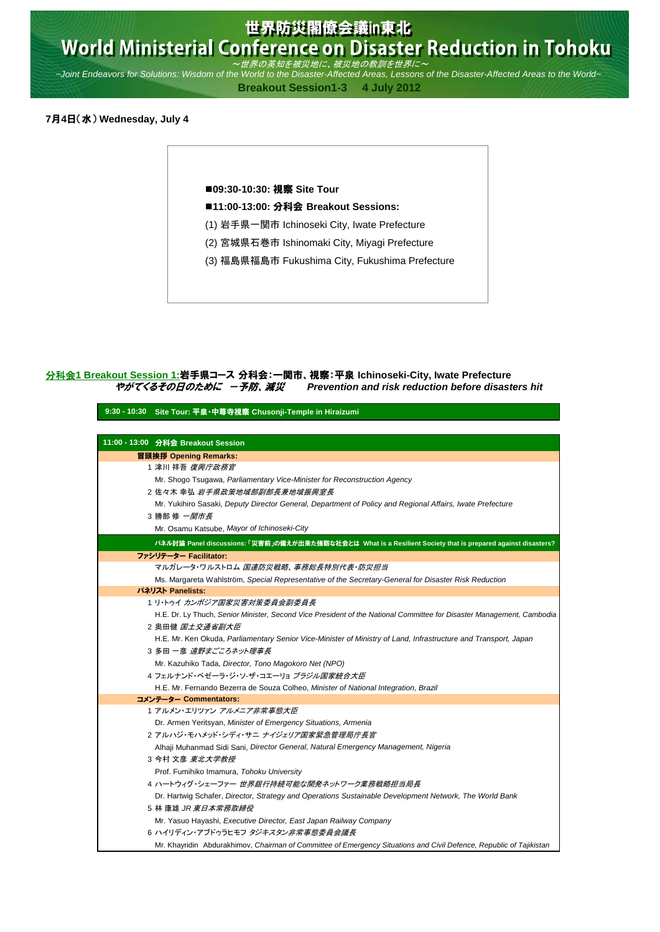# 世界防災閣僚会議in東北<br>World Ministerial Conference on Disaster Reduction in Tohoku

**Breakout Session1-3 4 July 2012** ~世界の英知を被災地に、被災地の教訓を世界に~ *~Joint Endeavors for Solutions: Wisdom of the World to the Disaster-Affected Areas, Lessons of the Disaster-Affected Areas to the World~* 

## **7**月**4**日(水) **Wednesday, July 4**

#### ■09:30-10:30: 視察 Site Tour

- **11:00-13:00:** 分科会 **Breakout Sessions:**
- (1) 岩手県一関市 Ichinoseki City, Iwate Prefecture
- (2) 宮城県石巻市 Ishinomaki City, Miyagi Prefecture
- (3) 福島県福島市 Fukushima City, Fukushima Prefecture

#### 分科会**1 Breakout Session 1:**岩手県コース 分科会:一関市、視察:平泉 **Ichinoseki-City, Iwate Prefecture** やがてくるその日のために -予防、減災 *Prevention and risk reduction before disasters hit*

| 9:30 - 10:30 Site Tour: 平泉・中尊寺視察 Chusonji-Temple in Hiraizumi                                                         |
|-----------------------------------------------------------------------------------------------------------------------|
|                                                                                                                       |
| 11:00 - 13:00 分科会 Breakout Session                                                                                    |
| 冒頭挨拶 Opening Remarks:                                                                                                 |
| 1 津川 祥吾 復興庁政務官                                                                                                        |
| Mr. Shogo Tsugawa, Parliamentary Vice-Minister for Reconstruction Agency                                              |
| 2 佐々木 幸弘 <i>岩手県政策地域部副部長兼地域振興室長</i>                                                                                    |
| Mr. Yukihiro Sasaki, Deputy Director General, Department of Policy and Regional Affairs, Iwate Prefecture             |
| 3 勝部 修 <i>一関市長</i>                                                                                                    |
| Mr. Osamu Katsube, Mayor of Ichinoseki-City                                                                           |
| パネル討論 Panel discussions:「災害前」の備えが出来た強靭な社会とは What is a Resilient Society that is prepared against disasters?           |
| ファシリテーター Facilitator:                                                                                                 |
| マルガレータ・ワルストロム 国連防災戦略、事務総長特別代表・防災担当                                                                                    |
| Ms. Margareta Wahlström, Special Representative of the Secretary-General for Disaster Risk Reduction                  |
| パネリスト Panelists:                                                                                                      |
| 1 リ トゥイ カンボジア国家災害対策委員会副委員長                                                                                            |
| H.E. Dr. Ly Thuch, Senior Minister, Second Vice President of the National Committee for Disaster Management, Cambodia |
| 2 奥田健 <i>国土交通省副大臣</i>                                                                                                 |
| H.E. Mr. Ken Okuda, Parliamentary Senior Vice-Minister of Ministry of Land, Infrastructure and Transport, Japan       |
| 3多田一彦 遠野まごころネット理事長                                                                                                    |
| Mr. Kazuhiko Tada, Director, Tono Magokoro Net (NPO)                                                                  |
| 4 フェルナンド・ベゼーラ・ジ・ソーザ・コエーリョ ブラジル国家統合大臣                                                                                  |
| H.E. Mr. Fernando Bezerra de Souza Colheo, Minister of National Integration, Brazil                                   |
| コメンテーター Commentators:                                                                                                 |
| 1 アルメン・エリツァン アルメニア非常事態大臣                                                                                              |
| Dr. Armen Yeritsyan, Minister of Emergency Situations, Armenia                                                        |
| 2 アルハジ・モハメッド・シディ・サニ ナイジェリア国家緊急管理局庁長官                                                                                  |
| Alhaji Muhanmad Sidi Sani, Director General, Natural Emergency Management, Nigeria                                    |
| 3 今村 文彦 <i>東北大学教授</i>                                                                                                 |
| Prof. Fumihiko Imamura, Tohoku University                                                                             |
| 4 ハートウィグ・シェーファー 世界銀行持続可能な開発ネットワーク業務戦略担当局長                                                                             |
| Dr. Hartwig Schafer, Director, Strategy and Operations Sustainable Development Network, The World Bank                |
| 5 林 康雄 JR 東日本常務取締役                                                                                                    |
| Mr. Yasuo Hayashi, Executive Director, East Japan Railway Company                                                     |
| 6 ハイリディン・アブドゥラヒモフ タジキスタン非常事態委員会議長                                                                                     |
| Mr. Khayridin Abdurakhimov, Chairman of Committee of Emergency Situations and Civil Defence, Republic of Tajikistan   |